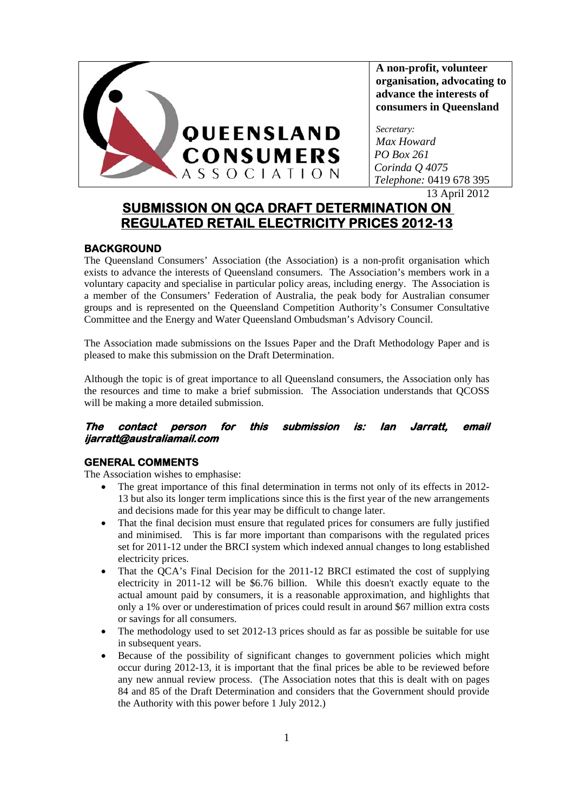

**A non-profit, volunteer organisation, advocating to advance the interests of consumers in Queensland** 

*Secretary: Max Howard PO Box 261 Corinda Q 4075 Telephone:* 0419 678 395

13 April 2012

# **SUBMISSION ON QCA DRAFT DETERMINATION ON REGULATED RETAIL ELECTRICITY PRICES 2012-13**

# **BACKGROUND**

The Queensland Consumers' Association (the Association) is a non-profit organisation which exists to advance the interests of Queensland consumers. The Association's members work in a voluntary capacity and specialise in particular policy areas, including energy. The Association is a member of the Consumers' Federation of Australia, the peak body for Australian consumer groups and is represented on the Queensland Competition Authority's Consumer Consultative Committee and the Energy and Water Queensland Ombudsman's Advisory Council.

The Association made submissions on the Issues Paper and the Draft Methodology Paper and is pleased to make this submission on the Draft Determination.

Although the topic is of great importance to all Queensland consumers, the Association only has the resources and time to make a brief submission. The Association understands that QCOSS will be making a more detailed submission.

# **The contact person for this submission is: Ian Jarratt, email ijarratt@australiamail.com**

# **GENERAL COMMENTS**

The Association wishes to emphasise:

- The great importance of this final determination in terms not only of its effects in 2012- 13 but also its longer term implications since this is the first year of the new arrangements and decisions made for this year may be difficult to change later.
- That the final decision must ensure that regulated prices for consumers are fully justified and minimised. This is far more important than comparisons with the regulated prices set for 2011-12 under the BRCI system which indexed annual changes to long established electricity prices.
- That the QCA's Final Decision for the 2011-12 BRCI estimated the cost of supplying electricity in 2011-12 will be \$6.76 billion. While this doesn't exactly equate to the actual amount paid by consumers, it is a reasonable approximation, and highlights that only a 1% over or underestimation of prices could result in around \$67 million extra costs or savings for all consumers.
- The methodology used to set 2012-13 prices should as far as possible be suitable for use in subsequent years.
- Because of the possibility of significant changes to government policies which might occur during 2012-13, it is important that the final prices be able to be reviewed before any new annual review process. (The Association notes that this is dealt with on pages 84 and 85 of the Draft Determination and considers that the Government should provide the Authority with this power before 1 July 2012.)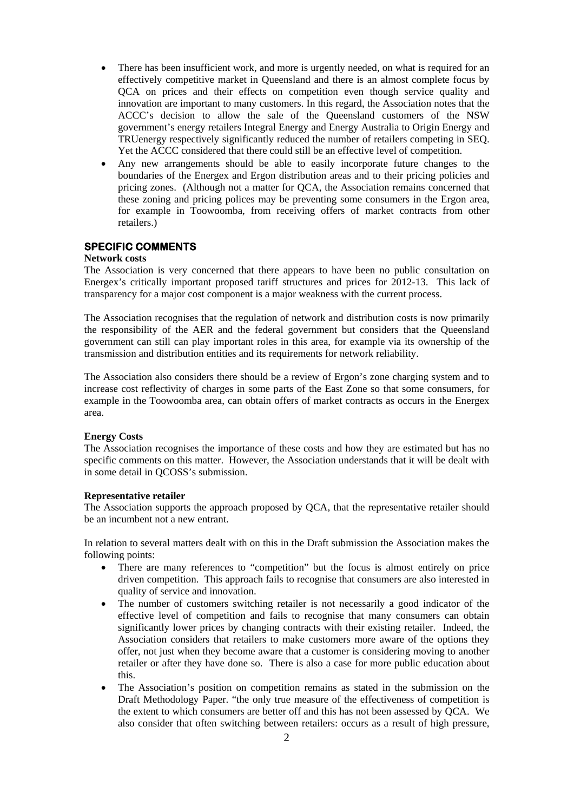- There has been insufficient work, and more is urgently needed, on what is required for an effectively competitive market in Queensland and there is an almost complete focus by QCA on prices and their effects on competition even though service quality and innovation are important to many customers. In this regard, the Association notes that the ACCC's decision to allow the sale of the Queensland customers of the NSW government's energy retailers Integral Energy and Energy Australia to Origin Energy and TRUenergy respectively significantly reduced the number of retailers competing in SEQ. Yet the ACCC considered that there could still be an effective level of competition.
- Any new arrangements should be able to easily incorporate future changes to the boundaries of the Energex and Ergon distribution areas and to their pricing policies and pricing zones. (Although not a matter for QCA, the Association remains concerned that these zoning and pricing polices may be preventing some consumers in the Ergon area, for example in Toowoomba, from receiving offers of market contracts from other retailers.)

# **SPECIFIC COMMENTS**

# **Network costs**

The Association is very concerned that there appears to have been no public consultation on Energex's critically important proposed tariff structures and prices for 2012-13. This lack of transparency for a major cost component is a major weakness with the current process.

The Association recognises that the regulation of network and distribution costs is now primarily the responsibility of the AER and the federal government but considers that the Queensland government can still can play important roles in this area, for example via its ownership of the transmission and distribution entities and its requirements for network reliability.

The Association also considers there should be a review of Ergon's zone charging system and to increase cost reflectivity of charges in some parts of the East Zone so that some consumers, for example in the Toowoomba area, can obtain offers of market contracts as occurs in the Energex area.

### **Energy Costs**

The Association recognises the importance of these costs and how they are estimated but has no specific comments on this matter. However, the Association understands that it will be dealt with in some detail in QCOSS's submission.

### **Representative retailer**

The Association supports the approach proposed by QCA, that the representative retailer should be an incumbent not a new entrant.

In relation to several matters dealt with on this in the Draft submission the Association makes the following points:

- There are many references to "competition" but the focus is almost entirely on price driven competition. This approach fails to recognise that consumers are also interested in quality of service and innovation.
- The number of customers switching retailer is not necessarily a good indicator of the effective level of competition and fails to recognise that many consumers can obtain significantly lower prices by changing contracts with their existing retailer. Indeed, the Association considers that retailers to make customers more aware of the options they offer, not just when they become aware that a customer is considering moving to another retailer or after they have done so. There is also a case for more public education about this.
- The Association's position on competition remains as stated in the submission on the Draft Methodology Paper. "the only true measure of the effectiveness of competition is the extent to which consumers are better off and this has not been assessed by QCA. We also consider that often switching between retailers: occurs as a result of high pressure,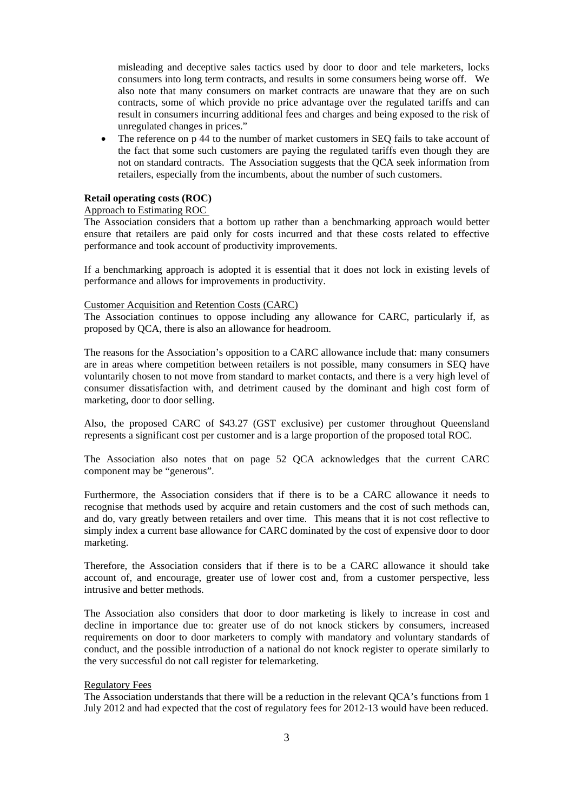misleading and deceptive sales tactics used by door to door and tele marketers, locks consumers into long term contracts, and results in some consumers being worse off. We also note that many consumers on market contracts are unaware that they are on such contracts, some of which provide no price advantage over the regulated tariffs and can result in consumers incurring additional fees and charges and being exposed to the risk of unregulated changes in prices."

 The reference on p 44 to the number of market customers in SEQ fails to take account of the fact that some such customers are paying the regulated tariffs even though they are not on standard contracts. The Association suggests that the QCA seek information from retailers, especially from the incumbents, about the number of such customers.

#### **Retail operating costs (ROC)**

## Approach to Estimating ROC

The Association considers that a bottom up rather than a benchmarking approach would better ensure that retailers are paid only for costs incurred and that these costs related to effective performance and took account of productivity improvements.

If a benchmarking approach is adopted it is essential that it does not lock in existing levels of performance and allows for improvements in productivity.

#### Customer Acquisition and Retention Costs (CARC)

The Association continues to oppose including any allowance for CARC, particularly if, as proposed by QCA, there is also an allowance for headroom.

The reasons for the Association's opposition to a CARC allowance include that: many consumers are in areas where competition between retailers is not possible, many consumers in SEQ have voluntarily chosen to not move from standard to market contacts, and there is a very high level of consumer dissatisfaction with, and detriment caused by the dominant and high cost form of marketing, door to door selling.

Also, the proposed CARC of \$43.27 (GST exclusive) per customer throughout Queensland represents a significant cost per customer and is a large proportion of the proposed total ROC.

The Association also notes that on page 52 QCA acknowledges that the current CARC component may be "generous".

Furthermore, the Association considers that if there is to be a CARC allowance it needs to recognise that methods used by acquire and retain customers and the cost of such methods can, and do, vary greatly between retailers and over time. This means that it is not cost reflective to simply index a current base allowance for CARC dominated by the cost of expensive door to door marketing.

Therefore, the Association considers that if there is to be a CARC allowance it should take account of, and encourage, greater use of lower cost and, from a customer perspective, less intrusive and better methods.

The Association also considers that door to door marketing is likely to increase in cost and decline in importance due to: greater use of do not knock stickers by consumers, increased requirements on door to door marketers to comply with mandatory and voluntary standards of conduct, and the possible introduction of a national do not knock register to operate similarly to the very successful do not call register for telemarketing.

### Regulatory Fees

The Association understands that there will be a reduction in the relevant QCA's functions from 1 July 2012 and had expected that the cost of regulatory fees for 2012-13 would have been reduced.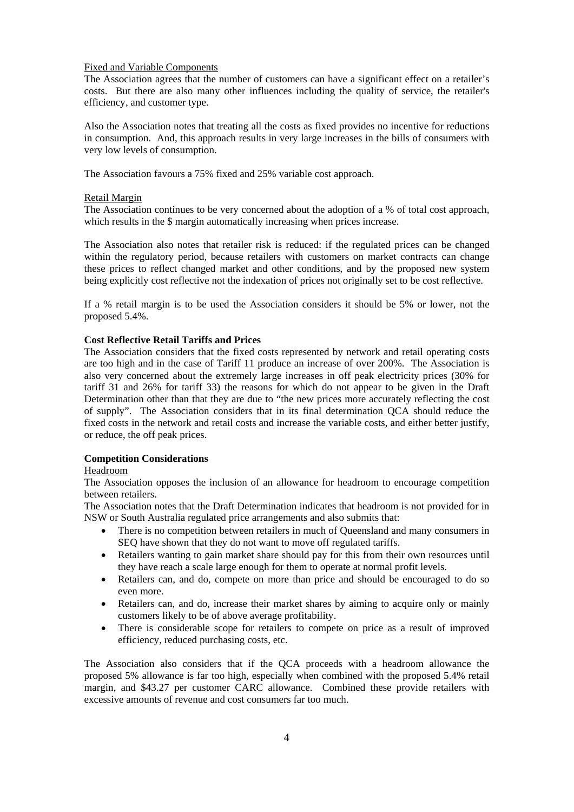#### Fixed and Variable Components

The Association agrees that the number of customers can have a significant effect on a retailer's costs. But there are also many other influences including the quality of service, the retailer's efficiency, and customer type.

Also the Association notes that treating all the costs as fixed provides no incentive for reductions in consumption. And, this approach results in very large increases in the bills of consumers with very low levels of consumption.

The Association favours a 75% fixed and 25% variable cost approach.

### Retail Margin

The Association continues to be very concerned about the adoption of a % of total cost approach, which results in the \$ margin automatically increasing when prices increase.

The Association also notes that retailer risk is reduced: if the regulated prices can be changed within the regulatory period, because retailers with customers on market contracts can change these prices to reflect changed market and other conditions, and by the proposed new system being explicitly cost reflective not the indexation of prices not originally set to be cost reflective.

If a % retail margin is to be used the Association considers it should be 5% or lower, not the proposed 5.4%.

### **Cost Reflective Retail Tariffs and Prices**

The Association considers that the fixed costs represented by network and retail operating costs are too high and in the case of Tariff 11 produce an increase of over 200%. The Association is also very concerned about the extremely large increases in off peak electricity prices (30% for tariff 31 and 26% for tariff 33) the reasons for which do not appear to be given in the Draft Determination other than that they are due to "the new prices more accurately reflecting the cost of supply". The Association considers that in its final determination QCA should reduce the fixed costs in the network and retail costs and increase the variable costs, and either better justify, or reduce, the off peak prices.

# **Competition Considerations**

### Headroom

The Association opposes the inclusion of an allowance for headroom to encourage competition between retailers.

The Association notes that the Draft Determination indicates that headroom is not provided for in NSW or South Australia regulated price arrangements and also submits that:

- There is no competition between retailers in much of Queensland and many consumers in SEQ have shown that they do not want to move off regulated tariffs.
- Retailers wanting to gain market share should pay for this from their own resources until they have reach a scale large enough for them to operate at normal profit levels.
- Retailers can, and do, compete on more than price and should be encouraged to do so even more.
- Retailers can, and do, increase their market shares by aiming to acquire only or mainly customers likely to be of above average profitability.
- There is considerable scope for retailers to compete on price as a result of improved efficiency, reduced purchasing costs, etc.

The Association also considers that if the QCA proceeds with a headroom allowance the proposed 5% allowance is far too high, especially when combined with the proposed 5.4% retail margin, and \$43.27 per customer CARC allowance. Combined these provide retailers with excessive amounts of revenue and cost consumers far too much.